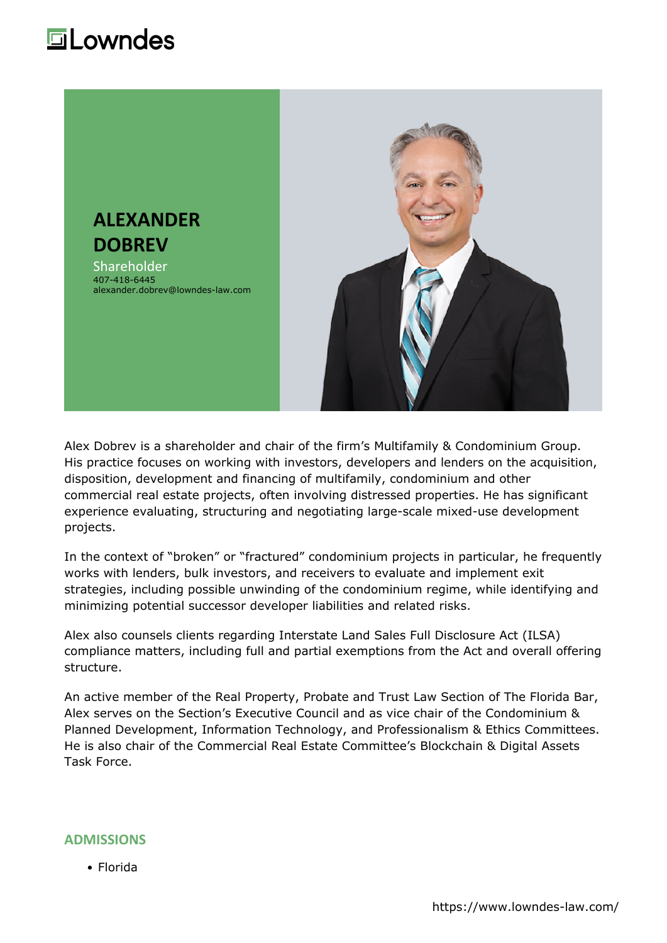### **Lowndes**



Alex Dobrev is a shareholder and chair of the firm's Multifamily & Condominium Group. His practice focuses on working with investors, developers and lenders on the acquisition, disposition, development and financing of multifamily, condominium and other commercial real estate projects, often involving distressed properties. He has significant experience evaluating, structuring and negotiating large-scale mixed-use development projects.

In the context of "broken" or "fractured" condominium projects in particular, he frequently works with lenders, bulk investors, and receivers to evaluate and implement exit strategies, including possible unwinding of the condominium regime, while identifying and minimizing potential successor developer liabilities and related risks.

Alex also counsels clients regarding Interstate Land Sales Full Disclosure Act (ILSA) compliance matters, including full and partial exemptions from the Act and overall offering structure.

An active member of the Real Property, Probate and Trust Law Section of The Florida Bar, Alex serves on the Section's Executive Council and as vice chair of the Condominium & Planned Development, Information Technology, and Professionalism & Ethics Committees. He is also chair of the Commercial Real Estate Committee's Blockchain & Digital Assets Task Force.

#### **ADMISSIONS**

Florida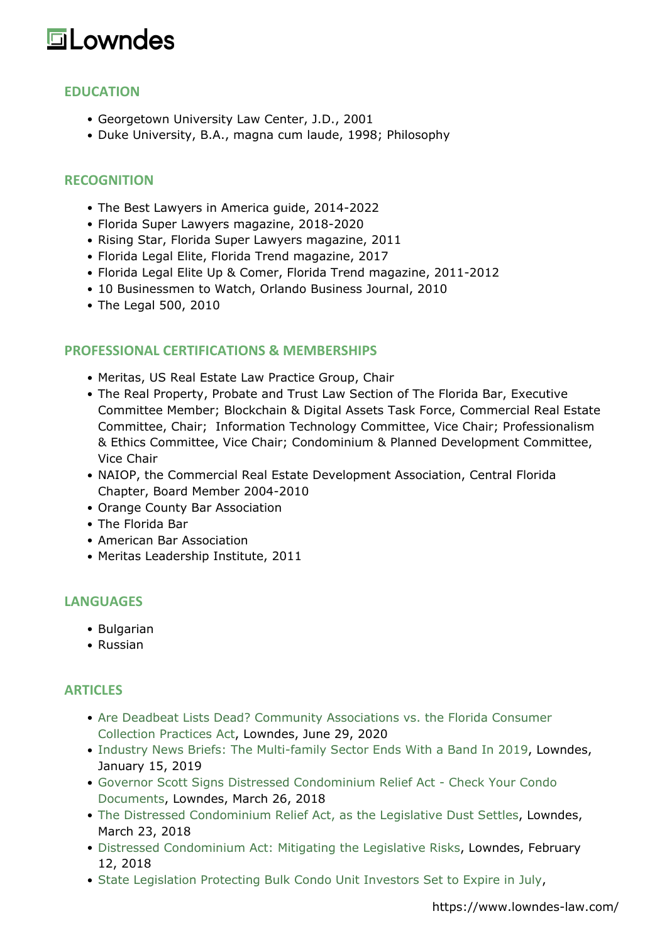# **Lowndes**

### **EDUCATION**

- Georgetown University Law Center, J.D., 2001
- Duke University, B.A., magna cum laude, 1998; Philosophy

#### **RECOGNITION**

- The Best Lawyers in America guide, 2014-2022
- Florida Super Lawyers magazine, 2018-2020
- Rising Star, Florida Super Lawyers magazine, 2011
- Florida Legal Elite, Florida Trend magazine, 2017
- Florida Legal Elite Up & Comer, Florida Trend magazine, 2011-2012
- 10 Businessmen to Watch, Orlando Business Journal, 2010
- The Legal 500, 2010

#### **PROFESSIONAL CERTIFICATIONS & MEMBERSHIPS**

- Meritas, US Real Estate Law Practice Group, Chair
- The Real Property, Probate and Trust Law Section of The Florida Bar, Executive Committee Member; Blockchain & Digital Assets Task Force, Commercial Real Estate Committee, Chair; Information Technology Committee, Vice Chair; Professionalism & Ethics Committee, Vice Chair; Condominium & Planned Development Committee, Vice Chair
- NAIOP, the Commercial Real Estate Development Association, Central Florida Chapter, Board Member 2004-2010
- Orange County Bar Association
- The Florida Bar
- American Bar Association
- Meritas Leadership Institute, 2011

#### **LANGUAGES**

- Bulgarian
- Russian

#### **ARTICLES**

- [Are Deadbeat Lists Dead? Community Associations vs. the Florida Consumer](https://lowndes-law.com/article-detail/post_detail/are-deadbeat-lists-dead-community-associations-vs-the-florida-consumer-collection-practices-act) [Collection Practices Act,](https://lowndes-law.com/article-detail/post_detail/are-deadbeat-lists-dead-community-associations-vs-the-florida-consumer-collection-practices-act) Lowndes, June 29, 2020
- [Industry News Briefs: The Multi-family Sector Ends With a Band In 2019](https://lowndes-law.com/article-detail/post_detail/industry-news-briefs), Lowndes, January 15, 2019
- [Governor Scott Signs Distressed Condominium Relief Act Check Your Condo](https://lowndes-law.com/article-detail/post_detail/governor-scott-signs-distressed-condominium-relief-act-check-your-condo-documents) [Documents,](https://lowndes-law.com/article-detail/post_detail/governor-scott-signs-distressed-condominium-relief-act-check-your-condo-documents) Lowndes, March 26, 2018
- [The Distressed Condominium Relief Act, as the Legislative Dust Settles](https://lowndes-law.com/article-detail/post_detail/the-distressed-condominium-relief-act-as-the-legislative-dust-settles), Lowndes, March 23, 2018
- [Distressed Condominium Act: Mitigating the Legislative Risks,](https://lowndes-law.com/article-detail/post_detail/distressed-condominium-act-mitigating-the-legislative-risks) Lowndes, February 12, 2018
- [State Legislation Protecting Bulk Condo Unit Investors Set to Expire in July,](https://lowndes-law.com/article-detail/post_detail/state-legislation-protecting-bulk-condo-unit-investors-set-to-expire-in-july)